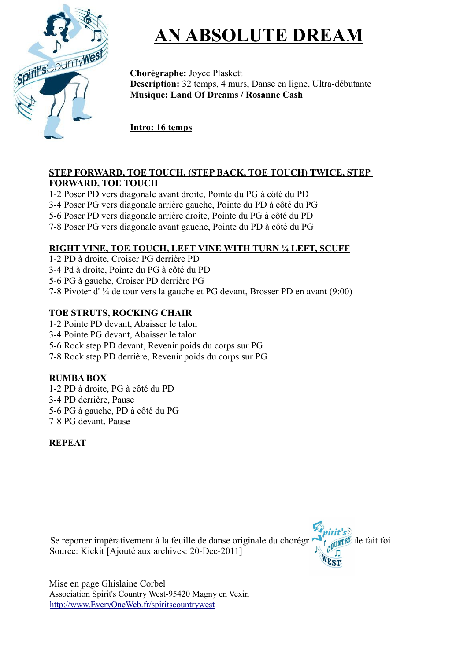

# **AN ABSOLUTE DREAM**

**Chorégraphe:** Joyce Plaskett **Description:** 32 temps, 4 murs, Danse en ligne, Ultra-débutante **Musique: Land Of Dreams / Rosanne Cash**

**Intro: 16 temps**

#### **STEP FORWARD, TOE TOUCH, (STEP BACK, TOE TOUCH) TWICE, STEP FORWARD, TOE TOUCH**

1-2 Poser PD vers diagonale avant droite, Pointe du PG à côté du PD

3-4 Poser PG vers diagonale arrière gauche, Pointe du PD à côté du PG

5-6 Poser PD vers diagonale arrière droite, Pointe du PG à côté du PD

7-8 Poser PG vers diagonale avant gauche, Pointe du PD à côté du PG

#### **RIGHT VINE, TOE TOUCH, LEFT VINE WITH TURN ¼ LEFT, SCUFF**

1-2 PD à droite, Croiser PG derrière PD

3-4 Pd à droite, Pointe du PG à côté du PD

5-6 PG à gauche, Croiser PD derrière PG

7-8 Pivoter d' ¼ de tour vers la gauche et PG devant, Brosser PD en avant (9:00)

### **TOE STRUTS, ROCKING CHAIR**

1-2 Pointe PD devant, Abaisser le talon

3-4 Pointe PG devant, Abaisser le talon

5-6 Rock step PD devant, Revenir poids du corps sur PG

7-8 Rock step PD derrière, Revenir poids du corps sur PG

### **RUMBA BOX**

1-2 PD à droite, PG à côté du PD 3-4 PD derrière, Pause 5-6 PG à gauche, PD à côté du PG 7-8 PG devant, Pause

### **REPEAT**

Se reporter impérativement à la feuille de danse originale du chorégr $\sim$   $\epsilon$  originale le fait foi Source: Kickit [Ajouté aux archives: 20-Dec-2011]

 Mise en page Ghislaine Corbel Association Spirit's Country West-95420 Magny en Vexin <http://www.EveryOneWeb.fr/spiritscountrywest>